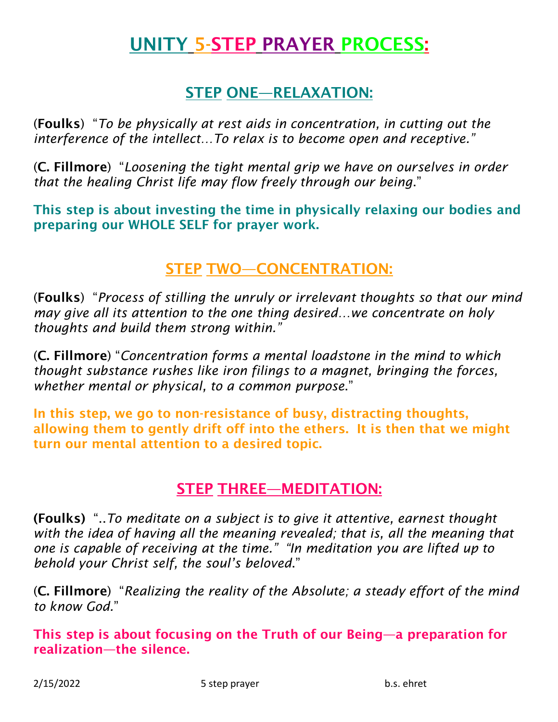# UNITY 5-STEP PRAYER PROCESS:

## STEP ONE—RELAXATION:

(Foulks) "*To be physically at rest aids in concentration, in cutting out the interference of the intellect…To relax is to become open and receptive."*

(C. Fillmore) "*Loosening the tight mental grip we have on ourselves in order that the healing Christ life may flow freely through our being*."

This step is about investing the time in physically relaxing our bodies and preparing our WHOLE SELF for prayer work.

## STEP TWO—CONCENTRATION:

(Foulks) "*Process of stilling the unruly or irrelevant thoughts so that our mind may give all its attention to the one thing desired…we concentrate on holy thoughts and build them strong within."*

(C. Fillmore) "*Concentration forms a mental loadstone in the mind to which thought substance rushes like iron filings to a magnet, bringing the forces, whether mental or physical, to a common purpose*."

In this step, we go to non-resistance of busy, distracting thoughts, allowing them to gently drift off into the ethers. It is then that we might turn our mental attention to a desired topic.

#### STEP THREE—MEDITATION:

(Foulks) "..*To meditate on a subject is to give it attentive, earnest thought with the idea of having all the meaning revealed; that is, all the meaning that one is capable of receiving at the time." "In meditation you are lifted up to behold your Christ self, the soul's beloved*."

(C. Fillmore) "*Realizing the reality of the Absolute; a steady effort of the mind to know God.*"

This step is about focusing on the Truth of our Being—a preparation for realization—the silence.

2/15/2022 5 step prayer b.s. ehret